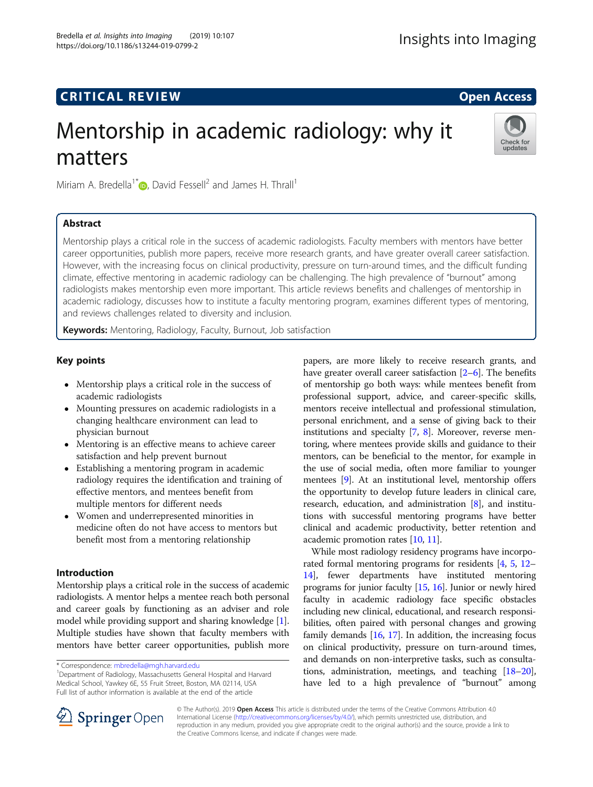https://doi.org/10.1186/s13244-019-0799-2

# Mentorship in academic radiology: why it matters



Miriam A. Bredella<sup>1</sup><sup>[\\*](http://orcid.org/0000-0001-5482-0440)</sup> $\bullet$ , David Fessell<sup>2</sup> and James H. Thrall<sup>1</sup>

# Abstract

Mentorship plays a critical role in the success of academic radiologists. Faculty members with mentors have better career opportunities, publish more papers, receive more research grants, and have greater overall career satisfaction. However, with the increasing focus on clinical productivity, pressure on turn-around times, and the difficult funding climate, effective mentoring in academic radiology can be challenging. The high prevalence of "burnout" among radiologists makes mentorship even more important. This article reviews benefits and challenges of mentorship in academic radiology, discusses how to institute a faculty mentoring program, examines different types of mentoring, and reviews challenges related to diversity and inclusion.

Keywords: Mentoring, Radiology, Faculty, Burnout, Job satisfaction

# Key points

- Mentorship plays a critical role in the success of academic radiologists
- Mounting pressures on academic radiologists in a changing healthcare environment can lead to physician burnout
- Mentoring is an effective means to achieve career satisfaction and help prevent burnout
- Establishing a mentoring program in academic radiology requires the identification and training of effective mentors, and mentees benefit from multiple mentors for different needs
- Women and underrepresented minorities in medicine often do not have access to mentors but benefit most from a mentoring relationship

# Introduction

Mentorship plays a critical role in the success of academic radiologists. A mentor helps a mentee reach both personal and career goals by functioning as an adviser and role model while providing support and sharing knowledge [[1](#page-5-0)]. Multiple studies have shown that faculty members with mentors have better career opportunities, publish more

<sup>1</sup>Department of Radiology, Massachusetts General Hospital and Harvard Medical School, Yawkey 6E, 55 Fruit Street, Boston, MA 02114, USA Full list of author information is available at the end of the article

papers, are more likely to receive research grants, and have greater overall career satisfaction [[2](#page-5-0)–[6](#page-5-0)]. The benefits of mentorship go both ways: while mentees benefit from professional support, advice, and career-specific skills, mentors receive intellectual and professional stimulation, personal enrichment, and a sense of giving back to their institutions and specialty [\[7,](#page-5-0) [8](#page-5-0)]. Moreover, reverse mentoring, where mentees provide skills and guidance to their mentors, can be beneficial to the mentor, for example in the use of social media, often more familiar to younger mentees [\[9](#page-5-0)]. At an institutional level, mentorship offers the opportunity to develop future leaders in clinical care, research, education, and administration [[8\]](#page-5-0), and institutions with successful mentoring programs have better clinical and academic productivity, better retention and academic promotion rates [[10](#page-5-0), [11\]](#page-5-0).

While most radiology residency programs have incorporated formal mentoring programs for residents [\[4](#page-5-0), [5](#page-5-0), [12](#page-5-0)– [14](#page-5-0)], fewer departments have instituted mentoring programs for junior faculty [[15](#page-5-0), [16](#page-5-0)]. Junior or newly hired faculty in academic radiology face specific obstacles including new clinical, educational, and research responsibilities, often paired with personal changes and growing family demands [[16](#page-5-0), [17](#page-5-0)]. In addition, the increasing focus on clinical productivity, pressure on turn-around times, and demands on non-interpretive tasks, such as consultations, administration, meetings, and teaching [\[18](#page-5-0)–[20](#page-5-0)], have led to a high prevalence of "burnout" among



© The Author(s). 2019 Open Access This article is distributed under the terms of the Creative Commons Attribution 4.0 International License ([http://creativecommons.org/licenses/by/4.0/\)](http://creativecommons.org/licenses/by/4.0/), which permits unrestricted use, distribution, and reproduction in any medium, provided you give appropriate credit to the original author(s) and the source, provide a link to the Creative Commons license, and indicate if changes were made.

<sup>\*</sup> Correspondence: [mbredella@mgh.harvard.edu](mailto:mbredella@mgh.harvard.edu) <sup>1</sup>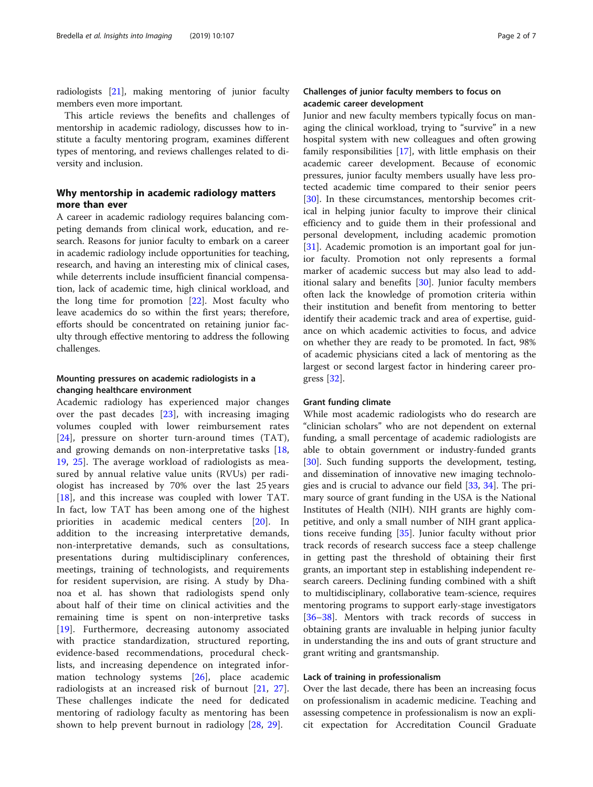radiologists [\[21\]](#page-5-0), making mentoring of junior faculty members even more important.

This article reviews the benefits and challenges of mentorship in academic radiology, discusses how to institute a faculty mentoring program, examines different types of mentoring, and reviews challenges related to diversity and inclusion.

## Why mentorship in academic radiology matters more than ever

A career in academic radiology requires balancing competing demands from clinical work, education, and research. Reasons for junior faculty to embark on a career in academic radiology include opportunities for teaching, research, and having an interesting mix of clinical cases, while deterrents include insufficient financial compensation, lack of academic time, high clinical workload, and the long time for promotion [[22\]](#page-5-0). Most faculty who leave academics do so within the first years; therefore, efforts should be concentrated on retaining junior faculty through effective mentoring to address the following challenges.

## Mounting pressures on academic radiologists in a changing healthcare environment

Academic radiology has experienced major changes over the past decades [[23\]](#page-5-0), with increasing imaging volumes coupled with lower reimbursement rates [[24\]](#page-5-0), pressure on shorter turn-around times (TAT), and growing demands on non-interpretative tasks [\[18](#page-5-0), [19,](#page-5-0) [25](#page-5-0)]. The average workload of radiologists as measured by annual relative value units (RVUs) per radiologist has increased by 70% over the last 25 years [[18\]](#page-5-0), and this increase was coupled with lower TAT. In fact, low TAT has been among one of the highest priorities in academic medical centers [\[20](#page-5-0)]. In addition to the increasing interpretative demands, non-interpretative demands, such as consultations, presentations during multidisciplinary conferences, meetings, training of technologists, and requirements for resident supervision, are rising. A study by Dhanoa et al. has shown that radiologists spend only about half of their time on clinical activities and the remaining time is spent on non-interpretive tasks [[19\]](#page-5-0). Furthermore, decreasing autonomy associated with practice standardization, structured reporting, evidence-based recommendations, procedural checklists, and increasing dependence on integrated information technology systems [[26\]](#page-5-0), place academic radiologists at an increased risk of burnout [[21,](#page-5-0) [27](#page-5-0)]. These challenges indicate the need for dedicated mentoring of radiology faculty as mentoring has been shown to help prevent burnout in radiology [[28](#page-5-0), [29\]](#page-5-0).

## Challenges of junior faculty members to focus on academic career development

Junior and new faculty members typically focus on managing the clinical workload, trying to "survive" in a new hospital system with new colleagues and often growing family responsibilities [\[17\]](#page-5-0), with little emphasis on their academic career development. Because of economic pressures, junior faculty members usually have less protected academic time compared to their senior peers [[30\]](#page-5-0). In these circumstances, mentorship becomes critical in helping junior faculty to improve their clinical efficiency and to guide them in their professional and personal development, including academic promotion [[31\]](#page-5-0). Academic promotion is an important goal for junior faculty. Promotion not only represents a formal marker of academic success but may also lead to additional salary and benefits  $[30]$  $[30]$  $[30]$ . Junior faculty members often lack the knowledge of promotion criteria within their institution and benefit from mentoring to better identify their academic track and area of expertise, guidance on which academic activities to focus, and advice on whether they are ready to be promoted. In fact, 98% of academic physicians cited a lack of mentoring as the largest or second largest factor in hindering career progress [\[32](#page-5-0)].

## Grant funding climate

While most academic radiologists who do research are "clinician scholars" who are not dependent on external funding, a small percentage of academic radiologists are able to obtain government or industry-funded grants [[30\]](#page-5-0). Such funding supports the development, testing, and dissemination of innovative new imaging technologies and is crucial to advance our field [\[33](#page-5-0), [34](#page-5-0)]. The primary source of grant funding in the USA is the National Institutes of Health (NIH). NIH grants are highly competitive, and only a small number of NIH grant applications receive funding [\[35](#page-5-0)]. Junior faculty without prior track records of research success face a steep challenge in getting past the threshold of obtaining their first grants, an important step in establishing independent research careers. Declining funding combined with a shift to multidisciplinary, collaborative team-science, requires mentoring programs to support early-stage investigators [[36](#page-5-0)–[38](#page-5-0)]. Mentors with track records of success in obtaining grants are invaluable in helping junior faculty in understanding the ins and outs of grant structure and grant writing and grantsmanship.

## Lack of training in professionalism

Over the last decade, there has been an increasing focus on professionalism in academic medicine. Teaching and assessing competence in professionalism is now an explicit expectation for Accreditation Council Graduate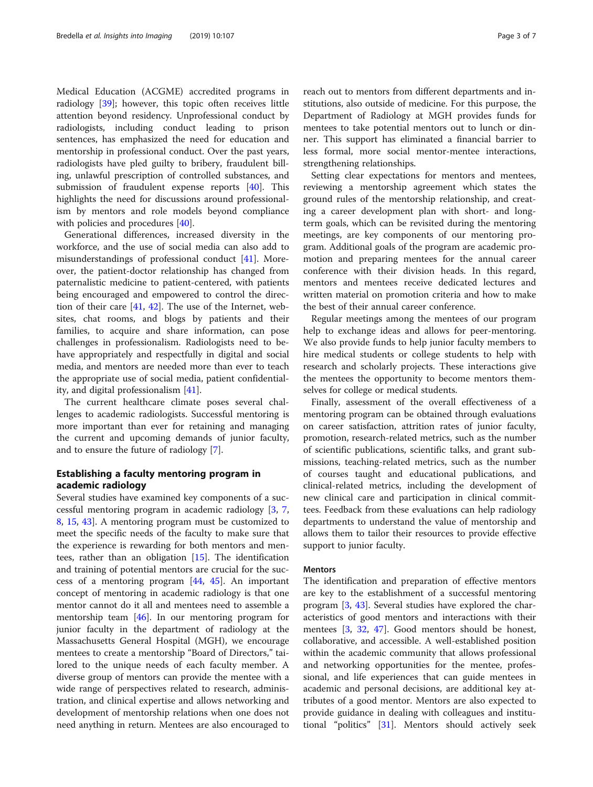Medical Education (ACGME) accredited programs in radiology [[39](#page-5-0)]; however, this topic often receives little attention beyond residency. Unprofessional conduct by radiologists, including conduct leading to prison sentences, has emphasized the need for education and mentorship in professional conduct. Over the past years, radiologists have pled guilty to bribery, fraudulent billing, unlawful prescription of controlled substances, and submission of fraudulent expense reports [[40](#page-5-0)]. This highlights the need for discussions around professionalism by mentors and role models beyond compliance with policies and procedures [\[40](#page-5-0)].

Generational differences, increased diversity in the workforce, and the use of social media can also add to misunderstandings of professional conduct [[41\]](#page-5-0). Moreover, the patient-doctor relationship has changed from paternalistic medicine to patient-centered, with patients being encouraged and empowered to control the direction of their care [[41,](#page-5-0) [42](#page-5-0)]. The use of the Internet, websites, chat rooms, and blogs by patients and their families, to acquire and share information, can pose challenges in professionalism. Radiologists need to behave appropriately and respectfully in digital and social media, and mentors are needed more than ever to teach the appropriate use of social media, patient confidentiality, and digital professionalism [\[41](#page-5-0)].

The current healthcare climate poses several challenges to academic radiologists. Successful mentoring is more important than ever for retaining and managing the current and upcoming demands of junior faculty, and to ensure the future of radiology [\[7](#page-5-0)].

## Establishing a faculty mentoring program in academic radiology

Several studies have examined key components of a successful mentoring program in academic radiology [\[3](#page-5-0), [7](#page-5-0), [8,](#page-5-0) [15,](#page-5-0) [43](#page-5-0)]. A mentoring program must be customized to meet the specific needs of the faculty to make sure that the experience is rewarding for both mentors and mentees, rather than an obligation [[15](#page-5-0)]. The identification and training of potential mentors are crucial for the success of a mentoring program [[44](#page-6-0), [45\]](#page-6-0). An important concept of mentoring in academic radiology is that one mentor cannot do it all and mentees need to assemble a mentorship team [\[46](#page-6-0)]. In our mentoring program for junior faculty in the department of radiology at the Massachusetts General Hospital (MGH), we encourage mentees to create a mentorship "Board of Directors," tailored to the unique needs of each faculty member. A diverse group of mentors can provide the mentee with a wide range of perspectives related to research, administration, and clinical expertise and allows networking and development of mentorship relations when one does not need anything in return. Mentees are also encouraged to reach out to mentors from different departments and institutions, also outside of medicine. For this purpose, the Department of Radiology at MGH provides funds for mentees to take potential mentors out to lunch or dinner. This support has eliminated a financial barrier to less formal, more social mentor-mentee interactions, strengthening relationships.

Setting clear expectations for mentors and mentees, reviewing a mentorship agreement which states the ground rules of the mentorship relationship, and creating a career development plan with short- and longterm goals, which can be revisited during the mentoring meetings, are key components of our mentoring program. Additional goals of the program are academic promotion and preparing mentees for the annual career conference with their division heads. In this regard, mentors and mentees receive dedicated lectures and written material on promotion criteria and how to make the best of their annual career conference.

Regular meetings among the mentees of our program help to exchange ideas and allows for peer-mentoring. We also provide funds to help junior faculty members to hire medical students or college students to help with research and scholarly projects. These interactions give the mentees the opportunity to become mentors themselves for college or medical students.

Finally, assessment of the overall effectiveness of a mentoring program can be obtained through evaluations on career satisfaction, attrition rates of junior faculty, promotion, research-related metrics, such as the number of scientific publications, scientific talks, and grant submissions, teaching-related metrics, such as the number of courses taught and educational publications, and clinical-related metrics, including the development of new clinical care and participation in clinical committees. Feedback from these evaluations can help radiology departments to understand the value of mentorship and allows them to tailor their resources to provide effective support to junior faculty.

## Mentors

The identification and preparation of effective mentors are key to the establishment of a successful mentoring program [\[3](#page-5-0), [43\]](#page-5-0). Several studies have explored the characteristics of good mentors and interactions with their mentees [[3,](#page-5-0) [32,](#page-5-0) [47\]](#page-6-0). Good mentors should be honest, collaborative, and accessible. A well-established position within the academic community that allows professional and networking opportunities for the mentee, professional, and life experiences that can guide mentees in academic and personal decisions, are additional key attributes of a good mentor. Mentors are also expected to provide guidance in dealing with colleagues and institutional "politics" [[31\]](#page-5-0). Mentors should actively seek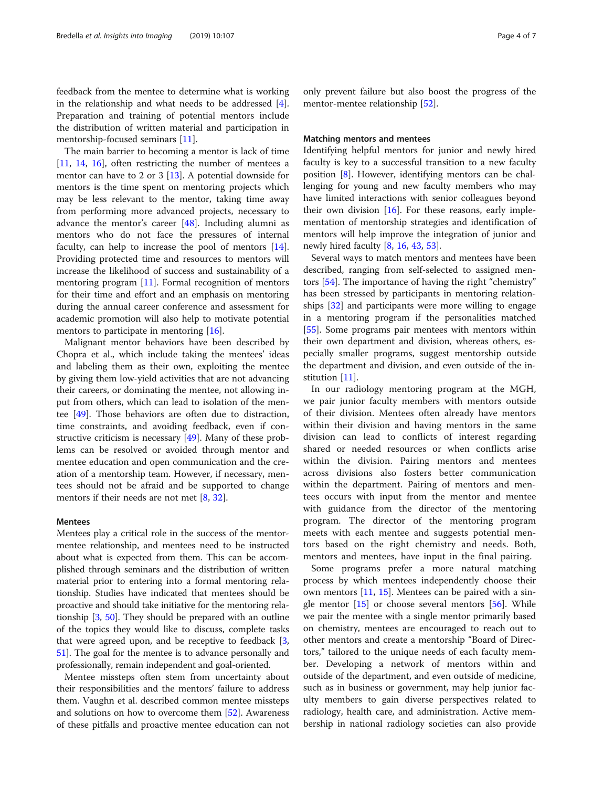feedback from the mentee to determine what is working in the relationship and what needs to be addressed [\[4](#page-5-0)]. Preparation and training of potential mentors include the distribution of written material and participation in mentorship-focused seminars [\[11](#page-5-0)].

The main barrier to becoming a mentor is lack of time [[11,](#page-5-0) [14,](#page-5-0) [16](#page-5-0)], often restricting the number of mentees a mentor can have to 2 or 3 [\[13](#page-5-0)]. A potential downside for mentors is the time spent on mentoring projects which may be less relevant to the mentor, taking time away from performing more advanced projects, necessary to advance the mentor's career [\[48](#page-6-0)]. Including alumni as mentors who do not face the pressures of internal faculty, can help to increase the pool of mentors [\[14](#page-5-0)]. Providing protected time and resources to mentors will increase the likelihood of success and sustainability of a mentoring program [\[11](#page-5-0)]. Formal recognition of mentors for their time and effort and an emphasis on mentoring during the annual career conference and assessment for academic promotion will also help to motivate potential mentors to participate in mentoring [\[16](#page-5-0)].

Malignant mentor behaviors have been described by Chopra et al., which include taking the mentees' ideas and labeling them as their own, exploiting the mentee by giving them low-yield activities that are not advancing their careers, or dominating the mentee, not allowing input from others, which can lead to isolation of the mentee [\[49](#page-6-0)]. Those behaviors are often due to distraction, time constraints, and avoiding feedback, even if constructive criticism is necessary [[49\]](#page-6-0). Many of these problems can be resolved or avoided through mentor and mentee education and open communication and the creation of a mentorship team. However, if necessary, mentees should not be afraid and be supported to change mentors if their needs are not met  $[8, 32]$  $[8, 32]$  $[8, 32]$  $[8, 32]$ .

### Mentees

Mentees play a critical role in the success of the mentormentee relationship, and mentees need to be instructed about what is expected from them. This can be accomplished through seminars and the distribution of written material prior to entering into a formal mentoring relationship. Studies have indicated that mentees should be proactive and should take initiative for the mentoring relationship [\[3](#page-5-0), [50](#page-6-0)]. They should be prepared with an outline of the topics they would like to discuss, complete tasks that were agreed upon, and be receptive to feedback [[3](#page-5-0), [51](#page-6-0)]. The goal for the mentee is to advance personally and professionally, remain independent and goal-oriented.

Mentee missteps often stem from uncertainty about their responsibilities and the mentors' failure to address them. Vaughn et al. described common mentee missteps and solutions on how to overcome them [[52\]](#page-6-0). Awareness of these pitfalls and proactive mentee education can not

only prevent failure but also boost the progress of the mentor-mentee relationship [\[52](#page-6-0)].

#### Matching mentors and mentees

Identifying helpful mentors for junior and newly hired faculty is key to a successful transition to a new faculty position [[8\]](#page-5-0). However, identifying mentors can be challenging for young and new faculty members who may have limited interactions with senior colleagues beyond their own division [[16\]](#page-5-0). For these reasons, early implementation of mentorship strategies and identification of mentors will help improve the integration of junior and newly hired faculty [[8,](#page-5-0) [16](#page-5-0), [43](#page-5-0), [53](#page-6-0)].

Several ways to match mentors and mentees have been described, ranging from self-selected to assigned mentors [\[54](#page-6-0)]. The importance of having the right "chemistry" has been stressed by participants in mentoring relationships [\[32](#page-5-0)] and participants were more willing to engage in a mentoring program if the personalities matched [[55\]](#page-6-0). Some programs pair mentees with mentors within their own department and division, whereas others, especially smaller programs, suggest mentorship outside the department and division, and even outside of the in-stitution [\[11\]](#page-5-0).

In our radiology mentoring program at the MGH, we pair junior faculty members with mentors outside of their division. Mentees often already have mentors within their division and having mentors in the same division can lead to conflicts of interest regarding shared or needed resources or when conflicts arise within the division. Pairing mentors and mentees across divisions also fosters better communication within the department. Pairing of mentors and mentees occurs with input from the mentor and mentee with guidance from the director of the mentoring program. The director of the mentoring program meets with each mentee and suggests potential mentors based on the right chemistry and needs. Both, mentors and mentees, have input in the final pairing.

Some programs prefer a more natural matching process by which mentees independently choose their own mentors [\[11](#page-5-0), [15](#page-5-0)]. Mentees can be paired with a single mentor  $[15]$  or choose several mentors  $[56]$  $[56]$ . While we pair the mentee with a single mentor primarily based on chemistry, mentees are encouraged to reach out to other mentors and create a mentorship "Board of Directors," tailored to the unique needs of each faculty member. Developing a network of mentors within and outside of the department, and even outside of medicine, such as in business or government, may help junior faculty members to gain diverse perspectives related to radiology, health care, and administration. Active membership in national radiology societies can also provide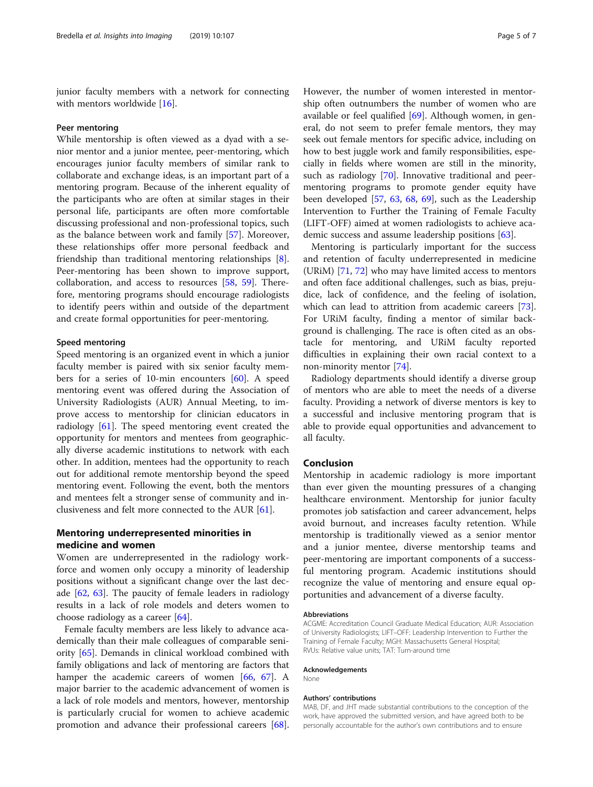junior faculty members with a network for connecting with mentors worldwide [[16\]](#page-5-0).

#### Peer mentoring

While mentorship is often viewed as a dyad with a senior mentor and a junior mentee, peer-mentoring, which encourages junior faculty members of similar rank to collaborate and exchange ideas, is an important part of a mentoring program. Because of the inherent equality of the participants who are often at similar stages in their personal life, participants are often more comfortable discussing professional and non-professional topics, such as the balance between work and family [[57\]](#page-6-0). Moreover, these relationships offer more personal feedback and friendship than traditional mentoring relationships [\[8](#page-5-0)]. Peer-mentoring has been shown to improve support, collaboration, and access to resources [\[58,](#page-6-0) [59\]](#page-6-0). Therefore, mentoring programs should encourage radiologists to identify peers within and outside of the department and create formal opportunities for peer-mentoring.

## Speed mentoring

Speed mentoring is an organized event in which a junior faculty member is paired with six senior faculty members for a series of 10-min encounters [[60\]](#page-6-0). A speed mentoring event was offered during the Association of University Radiologists (AUR) Annual Meeting, to improve access to mentorship for clinician educators in radiology [\[61\]](#page-6-0). The speed mentoring event created the opportunity for mentors and mentees from geographically diverse academic institutions to network with each other. In addition, mentees had the opportunity to reach out for additional remote mentorship beyond the speed mentoring event. Following the event, both the mentors and mentees felt a stronger sense of community and inclusiveness and felt more connected to the AUR [[61\]](#page-6-0).

## Mentoring underrepresented minorities in medicine and women

Women are underrepresented in the radiology workforce and women only occupy a minority of leadership positions without a significant change over the last decade [[62,](#page-6-0) [63](#page-6-0)]. The paucity of female leaders in radiology results in a lack of role models and deters women to choose radiology as a career [[64\]](#page-6-0).

Female faculty members are less likely to advance academically than their male colleagues of comparable seniority [\[65](#page-6-0)]. Demands in clinical workload combined with family obligations and lack of mentoring are factors that hamper the academic careers of women [[66](#page-6-0), [67](#page-6-0)]. A major barrier to the academic advancement of women is a lack of role models and mentors, however, mentorship is particularly crucial for women to achieve academic promotion and advance their professional careers [\[68](#page-6-0)]. However, the number of women interested in mentorship often outnumbers the number of women who are available or feel qualified [[69\]](#page-6-0). Although women, in general, do not seem to prefer female mentors, they may seek out female mentors for specific advice, including on how to best juggle work and family responsibilities, especially in fields where women are still in the minority, such as radiology [\[70](#page-6-0)]. Innovative traditional and peermentoring programs to promote gender equity have been developed [[57,](#page-6-0) [63,](#page-6-0) [68](#page-6-0), [69](#page-6-0)], such as the Leadership Intervention to Further the Training of Female Faculty (LIFT-OFF) aimed at women radiologists to achieve academic success and assume leadership positions [\[63](#page-6-0)].

Mentoring is particularly important for the success and retention of faculty underrepresented in medicine (URiM) [[71,](#page-6-0) [72\]](#page-6-0) who may have limited access to mentors and often face additional challenges, such as bias, prejudice, lack of confidence, and the feeling of isolation, which can lead to attrition from academic careers [\[73](#page-6-0)]. For URiM faculty, finding a mentor of similar background is challenging. The race is often cited as an obstacle for mentoring, and URiM faculty reported difficulties in explaining their own racial context to a non-minority mentor [\[74](#page-6-0)].

Radiology departments should identify a diverse group of mentors who are able to meet the needs of a diverse faculty. Providing a network of diverse mentors is key to a successful and inclusive mentoring program that is able to provide equal opportunities and advancement to all faculty.

## Conclusion

Mentorship in academic radiology is more important than ever given the mounting pressures of a changing healthcare environment. Mentorship for junior faculty promotes job satisfaction and career advancement, helps avoid burnout, and increases faculty retention. While mentorship is traditionally viewed as a senior mentor and a junior mentee, diverse mentorship teams and peer-mentoring are important components of a successful mentoring program. Academic institutions should recognize the value of mentoring and ensure equal opportunities and advancement of a diverse faculty.

#### Abbreviations

#### Acknowledgements

None

#### Authors' contributions

MAB, DF, and JHT made substantial contributions to the conception of the work, have approved the submitted version, and have agreed both to be personally accountable for the author's own contributions and to ensure

ACGME: Accreditation Council Graduate Medical Education; AUR: Association of University Radiologists; LIFT–OFF: Leadership Intervention to Further the Training of Female Faculty; MGH: Massachusetts General Hospital; RVUs: Relative value units; TAT: Turn-around time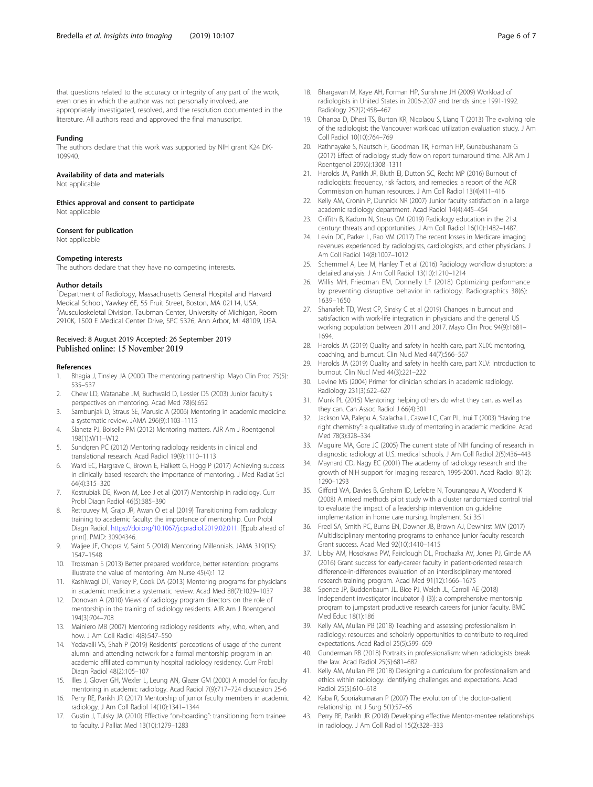#### <span id="page-5-0"></span>Funding

The authors declare that this work was supported by NIH grant K24 DK-109940.

#### Availability of data and materials

Not applicable

Ethics approval and consent to participate

Not applicable

#### Consent for publication

Not applicable

#### Competing interests

The authors declare that they have no competing interests.

#### Author details

<sup>1</sup>Department of Radiology, Massachusetts General Hospital and Harvard Medical School, Yawkey 6E, 55 Fruit Street, Boston, MA 02114, USA. 2 Musculoskeletal Division, Taubman Center, University of Michigan, Room 2910K, 1500 E Medical Center Drive, SPC 5326, Ann Arbor, MI 48109, USA.

#### Received: 8 August 2019 Accepted: 26 September 2019 Published online: 15 November 2019

#### References

- 1. Bhagia J, Tinsley JA (2000) The mentoring partnership. Mayo Clin Proc 75(5): 535–537
- 2. Chew LD, Watanabe JM, Buchwald D, Lessler DS (2003) Junior faculty's perspectives on mentoring. Acad Med 78(6):652
- 3. Sambunjak D, Straus SE, Marusic A (2006) Mentoring in academic medicine: a systematic review. JAMA 296(9):1103–1115
- 4. Slanetz PJ, Boiselle PM (2012) Mentoring matters. AJR Am J Roentgenol 198(1):W11–W12
- 5. Sundgren PC (2012) Mentoring radiology residents in clinical and translational research. Acad Radiol 19(9):1110–1113
- 6. Ward EC, Hargrave C, Brown E, Halkett G, Hogg P (2017) Achieving success in clinically based research: the importance of mentoring. J Med Radiat Sci 64(4):315–320
- 7. Kostrubiak DE, Kwon M, Lee J et al (2017) Mentorship in radiology. Curr Probl Diagn Radiol 46(5):385–390
- 8. Retrouvey M, Grajo JR, Awan O et al (2019) Transitioning from radiology training to academic faculty: the importance of mentorship. Curr Probl Diagn Radiol. <https://doi.org/10.1067/j.cpradiol.2019.02.011>. [Epub ahead of print]. PMID: 30904346.
- 9. Waljee JF, Chopra V, Saint S (2018) Mentoring Millennials. JAMA 319(15): 1547–1548
- 10. Trossman S (2013) Better prepared workforce, better retention: programs illustrate the value of mentoring. Am Nurse 45(4):1 12
- 11. Kashiwagi DT, Varkey P, Cook DA (2013) Mentoring programs for physicians in academic medicine: a systematic review. Acad Med 88(7):1029–1037
- 12. Donovan A (2010) Views of radiology program directors on the role of mentorship in the training of radiology residents. AJR Am J Roentgenol 194(3):704–708
- 13. Mainiero MB (2007) Mentoring radiology residents: why, who, when, and how. J Am Coll Radiol 4(8):547–550
- 14. Yedavalli VS, Shah P (2019) Residents' perceptions of usage of the current alumni and attending network for a formal mentorship program in an academic affiliated community hospital radiology residency. Curr Probl Diagn Radiol 48(2):105–107
- 15. Illes J, Glover GH, Wexler L, Leung AN, Glazer GM (2000) A model for faculty mentoring in academic radiology. Acad Radiol 7(9):717–724 discussion 25-6
- 16. Perry RE, Parikh JR (2017) Mentorship of junior faculty members in academic radiology. J Am Coll Radiol 14(10):1341–1344
- 17. Gustin J, Tulsky JA (2010) Effective "on-boarding": transitioning from trainee to faculty. J Palliat Med 13(10):1279–1283
- 18. Bhargavan M, Kaye AH, Forman HP, Sunshine JH (2009) Workload of radiologists in United States in 2006-2007 and trends since 1991-1992. Radiology 252(2):458–467
- 19. Dhanoa D, Dhesi TS, Burton KR, Nicolaou S, Liang T (2013) The evolving role of the radiologist: the Vancouver workload utilization evaluation study. J Am Coll Radiol 10(10):764–769
- 20. Rathnayake S, Nautsch F, Goodman TR, Forman HP, Gunabushanam G (2017) Effect of radiology study flow on report turnaround time. AJR Am J Roentgenol 209(6):1308–1311
- 21. Harolds JA, Parikh JR, Bluth EI, Dutton SC, Recht MP (2016) Burnout of radiologists: frequency, risk factors, and remedies: a report of the ACR Commission on human resources. J Am Coll Radiol 13(4):411–416
- 22. Kelly AM, Cronin P, Dunnick NR (2007) Junior faculty satisfaction in a large academic radiology department. Acad Radiol 14(4):445–454
- 23. Griffith B, Kadom N, Straus CM (2019) Radiology education in the 21st century: threats and opportunities. J Am Coll Radiol 16(10):1482–1487.
- 24. Levin DC, Parker L, Rao VM (2017) The recent losses in Medicare imaging revenues experienced by radiologists, cardiologists, and other physicians. J Am Coll Radiol 14(8):1007–1012
- 25. Schemmel A, Lee M, Hanley T et al (2016) Radiology workflow disruptors: a detailed analysis. J Am Coll Radiol 13(10):1210–1214
- 26. Willis MH, Friedman EM, Donnelly LF (2018) Optimizing performance by preventing disruptive behavior in radiology. Radiographics 38(6): 1639–1650
- 27. Shanafelt TD, West CP, Sinsky C et al (2019) Changes in burnout and satisfaction with work-life integration in physicians and the general US working population between 2011 and 2017. Mayo Clin Proc 94(9):1681– 1694.
- 28. Harolds JA (2019) Quality and safety in health care, part XLIX: mentoring, coaching, and burnout. Clin Nucl Med 44(7):566–567
- 29. Harolds JA (2019) Quality and safety in health care, part XLV: introduction to burnout. Clin Nucl Med 44(3):221–222
- 30. Levine MS (2004) Primer for clinician scholars in academic radiology. Radiology 231(3):622–627
- 31. Munk PL (2015) Mentoring: helping others do what they can, as well as they can. Can Assoc Radiol J 66(4):301
- 32. Jackson VA, Palepu A, Szalacha L, Caswell C, Carr PL, Inui T (2003) "Having the right chemistry": a qualitative study of mentoring in academic medicine. Acad Med 78(3):328–334
- 33. Maguire MA, Gore JC (2005) The current state of NIH funding of research in diagnostic radiology at U.S. medical schools. J Am Coll Radiol 2(5):436–443
- 34. Maynard CD, Nagy EC (2001) The academy of radiology research and the growth of NIH support for imaging research, 1995-2001. Acad Radiol 8(12): 1290–1293
- 35. Gifford WA, Davies B, Graham ID, Lefebre N, Tourangeau A, Woodend K (2008) A mixed methods pilot study with a cluster randomized control trial to evaluate the impact of a leadership intervention on guideline implementation in home care nursing. Implement Sci 3:51
- 36. Freel SA, Smith PC, Burns EN, Downer JB, Brown AJ, Dewhirst MW (2017) Multidisciplinary mentoring programs to enhance junior faculty research Grant success. Acad Med 92(10):1410–1415
- 37. Libby AM, Hosokawa PW, Fairclough DL, Prochazka AV, Jones PJ, Ginde AA (2016) Grant success for early-career faculty in patient-oriented research: difference-in-differences evaluation of an interdisciplinary mentored research training program. Acad Med 91(12):1666–1675
- 38. Spence JP, Buddenbaum JL, Bice PJ, Welch JL, Carroll AE (2018) Independent investigator incubator (I (3)): a comprehensive mentorship program to jumpstart productive research careers for junior faculty. BMC Med Educ 18(1):186
- 39. Kelly AM, Mullan PB (2018) Teaching and assessing professionalism in radiology: resources and scholarly opportunities to contribute to required expectations. Acad Radiol 25(5):599–609
- 40. Gunderman RB (2018) Portraits in professionalism: when radiologists break the law. Acad Radiol 25(5):681–682
- 41. Kelly AM, Mullan PB (2018) Designing a curriculum for professionalism and ethics within radiology: identifying challenges and expectations. Acad Radiol 25(5):610–618
- 42. Kaba R, Sooriakumaran P (2007) The evolution of the doctor-patient relationship. Int J Surg 5(1):57–65
- 43. Perry RE, Parikh JR (2018) Developing effective Mentor-mentee relationships in radiology. J Am Coll Radiol 15(2):328–333